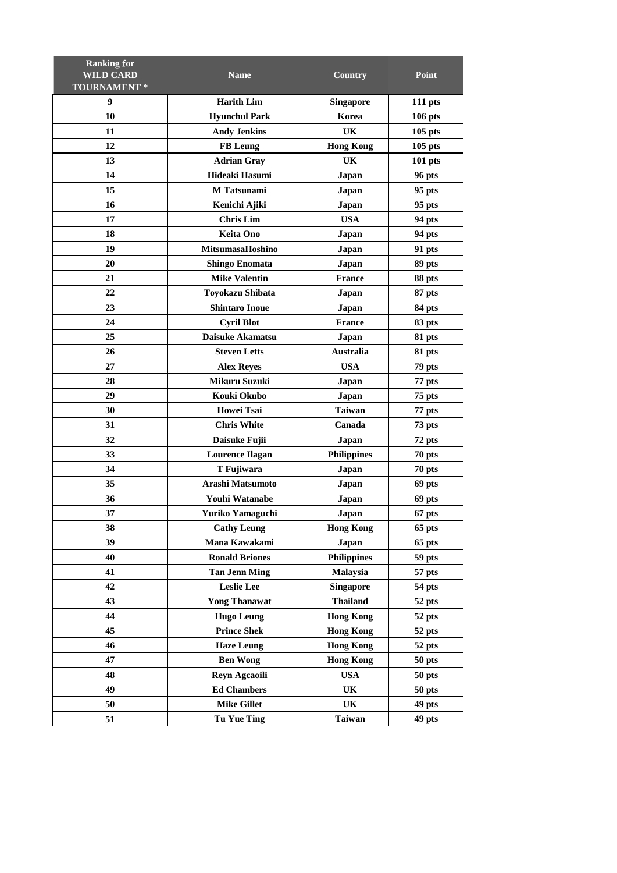| <b>Ranking for</b> |                         |                    |                |
|--------------------|-------------------------|--------------------|----------------|
| <b>WILD CARD</b>   | <b>Name</b>             | Country            | Point          |
| TOURNAMENT*        |                         |                    |                |
| 9                  | <b>Harith Lim</b>       | <b>Singapore</b>   | 111 pts        |
| 10                 | <b>Hyunchul Park</b>    | Korea              | <b>106 pts</b> |
| 11                 | <b>Andy Jenkins</b>     | UK                 | $105$ pts      |
| 12                 | <b>FB</b> Leung         | <b>Hong Kong</b>   | $105$ pts      |
| 13                 | <b>Adrian Gray</b>      | UK                 | $101$ pts      |
| 14                 | Hideaki Hasumi          | Japan              | 96 pts         |
| 15                 | M Tatsunami             | Japan              | 95 pts         |
| 16                 | Kenichi Ajiki           | Japan              | 95 pts         |
| 17                 | <b>Chris Lim</b>        | <b>USA</b>         | 94 pts         |
| 18                 | <b>Keita Ono</b>        | Japan              | 94 pts         |
| 19                 | <b>MitsumasaHoshino</b> | Japan              | 91 pts         |
| 20                 | <b>Shingo Enomata</b>   | Japan              | 89 pts         |
| 21                 | <b>Mike Valentin</b>    | <b>France</b>      | 88 pts         |
| 22                 | Toyokazu Shibata        | Japan              | 87 pts         |
| 23                 | <b>Shintaro Inoue</b>   | Japan              | 84 pts         |
| 24                 | <b>Cyril Blot</b>       | France             | 83 pts         |
| 25                 | <b>Daisuke Akamatsu</b> | Japan              | 81 pts         |
| 26                 | <b>Steven Letts</b>     | <b>Australia</b>   | 81 pts         |
| 27                 | <b>Alex Reyes</b>       | <b>USA</b>         | 79 pts         |
| 28                 | Mikuru Suzuki           | Japan              | 77 pts         |
| 29                 | Kouki Okubo             | Japan              | 75 pts         |
| 30                 | Howei Tsai              | <b>Taiwan</b>      | 77 pts         |
| 31                 | <b>Chris White</b>      | Canada             | 73 pts         |
| 32                 | Daisuke Fujii           | Japan              | 72 pts         |
| 33                 | <b>Lourence Ilagan</b>  | <b>Philippines</b> | 70 pts         |
| 34                 | T Fujiwara              | Japan              | 70 pts         |
| 35                 | Arashi Matsumoto        | Japan              | 69 pts         |
| 36                 | Youhi Watanabe          | Japan              | 69 pts         |
| 37                 | Yuriko Yamaguchi        | Japan              | 67 pts         |
| 38                 | <b>Cathy Leung</b>      | <b>Hong Kong</b>   | 65 pts         |
| 39                 | Mana Kawakami           | Japan              | 65 pts         |
| 40                 | <b>Ronald Briones</b>   | <b>Philippines</b> | 59 pts         |
| 41                 | <b>Tan Jenn Ming</b>    | Malaysia           | 57 pts         |
| 42                 | <b>Leslie Lee</b>       | <b>Singapore</b>   | 54 pts         |
| 43                 | <b>Yong Thanawat</b>    | <b>Thailand</b>    | 52 pts         |
| 44                 | <b>Hugo Leung</b>       | <b>Hong Kong</b>   | 52 pts         |
| 45                 | <b>Prince Shek</b>      | <b>Hong Kong</b>   | 52 pts         |
| 46                 | <b>Haze Leung</b>       | <b>Hong Kong</b>   | 52 pts         |
| 47                 | <b>Ben Wong</b>         | <b>Hong Kong</b>   | 50 pts         |
| 48                 | Reyn Agcaoili           | <b>USA</b>         | 50 pts         |
| 49                 | <b>Ed Chambers</b>      | UK                 | 50 pts         |
| 50                 | <b>Mike Gillet</b>      | UK                 | 49 pts         |
| 51                 | <b>Tu Yue Ting</b>      | <b>Taiwan</b>      | 49 pts         |
|                    |                         |                    |                |